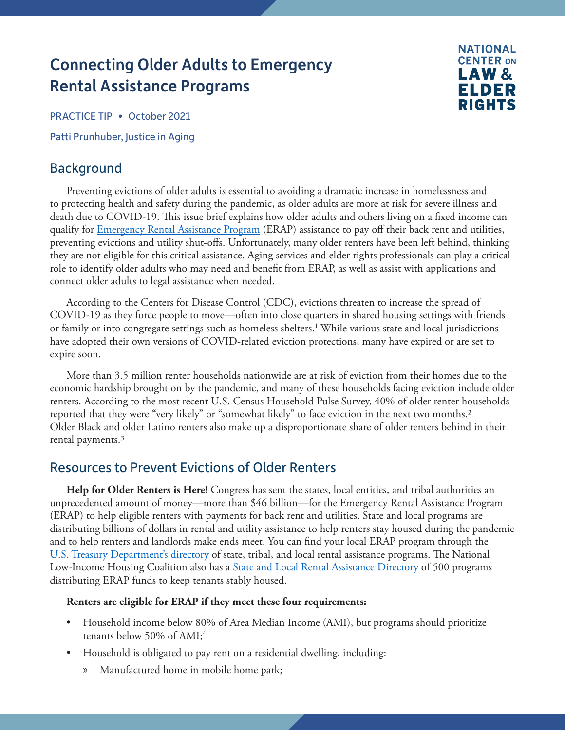# <span id="page-0-0"></span>Connecting Older Adults to Emergency Rental Assistance Programs



PRACTICE TIP • October 2021

Patti Prunhuber, Justice in Aging

## Background

Preventing evictions of older adults is essential to avoiding a dramatic increase in homelessness and to protecting health and safety during the pandemic, as older adults are more at risk for severe illness and death due to COVID-19. This issue brief explains how older adults and others living on a fixed income can qualify for *Emergency Rental Assistance Program* (ERAP) assistance to pay off their back rent and utilities, preventing evictions and utility shut-offs. Unfortunately, many older renters have been left behind, thinking they are not eligible for this critical assistance. Aging services and elder rights professionals can play a critical role to identify older adults who may need and benefit from ERAP, as well as assist with applications and connect older adults to legal assistance when needed.

According to the Centers for Disease Control (CDC), evictions threaten to increase the spread of COVID-19 as they force people to move—often into close quarters in shared housing settings with friends or family or into congregate settings such as homeless shelters.<sup>1</sup> While various state and local jurisdictions have adopted their own versions of COVID-related eviction protections, many have expired or are set to expire soon.

More than 3.5 million renter households nationwide are at risk of eviction from their homes due to the economic hardship brought on by the pandemic, and many of these households facing eviction include older renters. According to the most recent U.S. Census Household Pulse Survey, 40% of older renter households reported that they were "very likely" or "somewhat likely" to face eviction in the next two months[.2](#page-4-0) Older Black and older Latino renters also make up a disproportionate share of older renters behind in their rental payments.[3](#page-4-0)

## Resources to Prevent Evictions of Older Renters

**Help for Older Renters is Here!** Congress has sent the states, local entities, and tribal authorities an unprecedented amount of money—more than \$46 billion—for the Emergency Rental Assistance Program (ERAP) to help eligible renters with payments for back rent and utilities. State and local programs are distributing billions of dollars in rental and utility assistance to help renters stay housed during the pandemic and to help renters and landlords make ends meet. You can find your local ERAP program through the [U.S. Treasury Department's directory](https://home.treasury.gov/policy-issues/coronavirus/assistance-for-state-local-and-tribal-governments/emergency-rental-assistance-program/program-index) of state, tribal, and local rental assistance programs. The National Low-Income Housing Coalition also has a **State and Local Rental Assistance Directory** of 500 programs distributing ERAP funds to keep tenants stably housed.

#### **Renters are eligible for ERAP if they meet these four requirements:**

- Household income below 80% of Area Median Income (AMI), but programs should prioritize tenants below 50% of  $AMI;4$  $AMI;4$
- Household is obligated to pay rent on a residential dwelling, including:
	- » Manufactured home in mobile home park;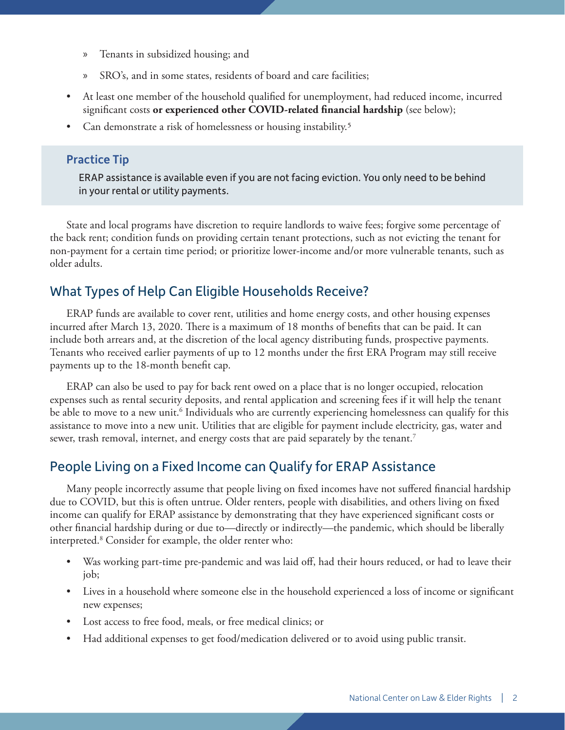- <span id="page-1-0"></span>» Tenants in subsidized housing; and
- » SRO's, and in some states, residents of board and care facilities;
- At least one member of the household qualified for unemployment, had reduced income, incurred significant costs **or experienced other COVID-related financial hardship** (see below);
- Can demonstrate a risk of homelessness or housing instability.[5](#page-4-0)

#### Practice Tip

ERAP assistance is available even if you are not facing eviction. You only need to be behind in your rental or utility payments.

State and local programs have discretion to require landlords to waive fees; forgive some percentage of the back rent; condition funds on providing certain tenant protections, such as not evicting the tenant for non-payment for a certain time period; or prioritize lower-income and/or more vulnerable tenants, such as older adults.

## What Types of Help Can Eligible Households Receive?

ERAP funds are available to cover rent, utilities and home energy costs, and other housing expenses incurred after March 13, 2020. There is a maximum of 18 months of benefits that can be paid. It can include both arrears and, at the discretion of the local agency distributing funds, prospective payments. Tenants who received earlier payments of up to 12 months under the first ERA Program may still receive payments up to the 18-month benefit cap.

ERAP can also be used to pay for back rent owed on a place that is no longer occupied, relocation expenses such as rental security deposits, and rental application and screening fees if it will help the tenant be able to move to a new unit.<sup>6</sup> Individuals who are currently experiencing homelessness can qualify for this assistance to move into a new unit. Utilities that are eligible for payment include electricity, gas, water and sewer, trash removal, internet, and energy costs that are paid separately by the tenant.<sup>7</sup>

## People Living on a Fixed Income can Qualify for ERAP Assistance

Many people incorrectly assume that people living on fixed incomes have not suffered financial hardship due to COVID, but this is often untrue. Older renters, people with disabilities, and others living on fixed income can qualify for ERAP assistance by demonstrating that they have experienced significant costs or other financial hardship during or due to—directly or indirectly—the pandemic, which should be liberally interpreted[.8](#page-4-0) Consider for example, the older renter who:

- Was working part-time pre-pandemic and was laid off, had their hours reduced, or had to leave their job;
- Lives in a household where someone else in the household experienced a loss of income or significant new expenses;
- Lost access to free food, meals, or free medical clinics; or
- Had additional expenses to get food/medication delivered or to avoid using public transit.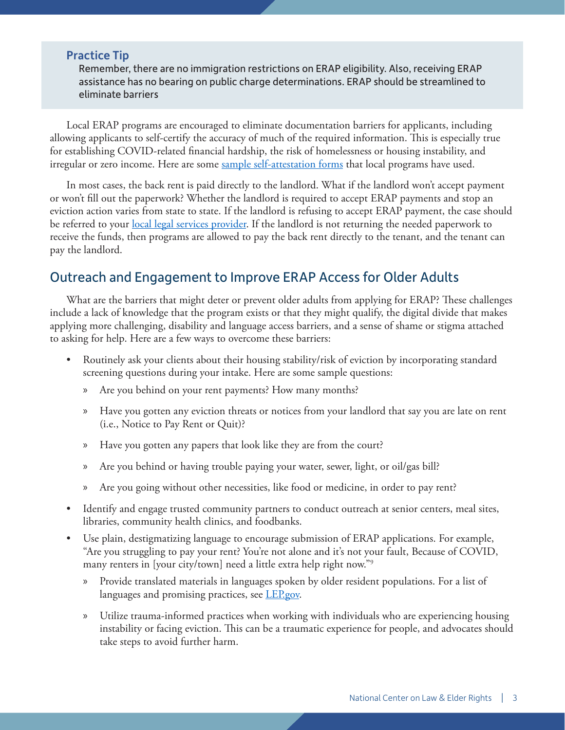#### <span id="page-2-0"></span>Practice Tip

Remember, there are no immigration restrictions on ERAP eligibility. Also, receiving ERAP assistance has no bearing on public charge determinations. ERAP should be streamlined to eliminate barriers

Local ERAP programs are encouraged to eliminate documentation barriers for applicants, including allowing applicants to self-certify the accuracy of much of the required information. This is especially true for establishing COVID-related financial hardship, the risk of homelessness or housing instability, and irregular or zero income. Here are some [sample self-attestation forms](https://home.treasury.gov/policy-issues/coronavirus/assistance-for-state-local-and-tribal-governments/emergency-rental-assistance-program/promising-practices/forms) that local programs have used.

In most cases, the back rent is paid directly to the landlord. What if the landlord won't accept payment or won't fill out the paperwork? Whether the landlord is required to accept ERAP payments and stop an eviction action varies from state to state. If the landlord is refusing to accept ERAP payment, the case should be referred to your <u>local legal services provider</u>. If the landlord is not returning the needed paperwork to receive the funds, then programs are allowed to pay the back rent directly to the tenant, and the tenant can pay the landlord.

## Outreach and Engagement to Improve ERAP Access for Older Adults

What are the barriers that might deter or prevent older adults from applying for ERAP? These challenges include a lack of knowledge that the program exists or that they might qualify, the digital divide that makes applying more challenging, disability and language access barriers, and a sense of shame or stigma attached to asking for help. Here are a few ways to overcome these barriers:

- Routinely ask your clients about their housing stability/risk of eviction by incorporating standard screening questions during your intake. Here are some sample questions:
	- » Are you behind on your rent payments? How many months?
	- » Have you gotten any eviction threats or notices from your landlord that say you are late on rent (i.e., Notice to Pay Rent or Quit)?
	- » Have you gotten any papers that look like they are from the court?
	- » Are you behind or having trouble paying your water, sewer, light, or oil/gas bill?
	- » Are you going without other necessities, like food or medicine, in order to pay rent?
- Identify and engage trusted community partners to conduct outreach at senior centers, meal sites, libraries, community health clinics, and foodbanks.
- Use plain, destigmatizing language to encourage submission of ERAP applications. For example, "Are you struggling to pay your rent? You're not alone and it's not your fault, Because of COVID, many renters in [your city/town] need a little extra help right now.["9](#page-4-0)
	- » Provide translated materials in languages spoken by older resident populations. For a list of languages and promising practices, see **[LEP.gov](https://www.lep.gov/).**
	- » Utilize [trauma-informed practices](https://ncler.acl.gov/Files/Trauma-Informed-Lawyering.aspx) when working with individuals who are experiencing housing instability or facing eviction. This can be a traumatic experience for people, and advocates should take steps to avoid further harm.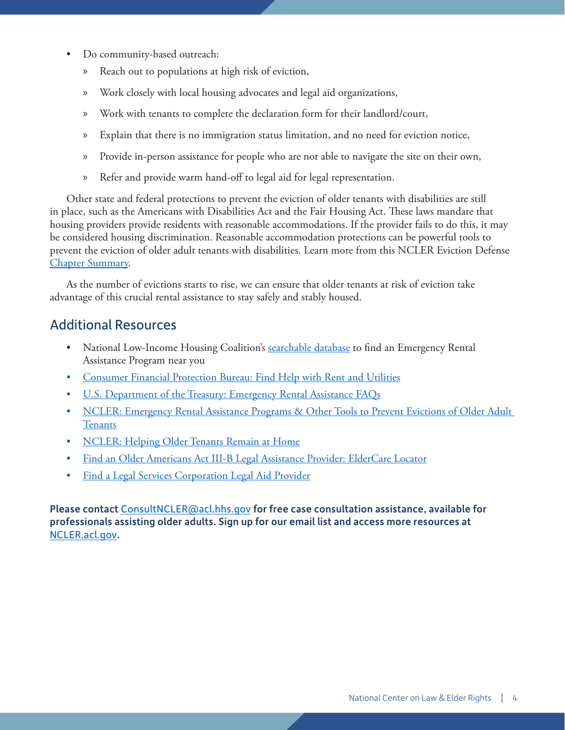- Do community-based outreach:
	- » Reach out to populations at high risk of eviction,
	- » Work closely with local housing advocates and legal aid organizations,
	- » Work with tenants to complete the declaration form for their landlord/court,
	- » Explain that there is no immigration status limitation, and no need for eviction notice,
	- » Provide in-person assistance for people who are not able to navigate the site on their own,
	- » Refer and provide warm hand-off to legal aid for legal representation.

Other state and federal protections to prevent the eviction of older tenants with disabilities are still in place, such as the Americans with Disabilities Act and the Fair Housing Act. These laws mandate that housing providers provide residents with reasonable accommodations. If the provider fails to do this, it may be considered housing discrimination. Reasonable accommodation protections can be powerful tools to prevent the eviction of older adult tenants with disabilities. Learn more from this NCLER Eviction Defense [Chapter Summary.](https://ncler.acl.gov/getattachment/Legal-Training/Eviction-Defense-Ch-Summary.pdf.aspx?lang=en-US)

As the number of evictions starts to rise, we can ensure that older tenants at risk of eviction take advantage of this crucial rental assistance to stay safely and stably housed.

#### Additional Resources

- National Low-Income Housing Coalition's [searchable database](https://nlihc.org/rental-assistance) to find an Emergency Rental Assistance Program near you
- [Consumer Financial Protection Bureau: Find Help with Rent and Utilities](https://www.consumerfinance.gov/coronavirus/mortgage-and-housing-assistance/renter-protections/find-help-with-rent-and-utilities/)
- [U.S. Department of the Treasury: Emergency Rental Assistance FAQs](https://home.treasury.gov/system/files/136/ERA-FAQ-8-25-2021.pdf)
- [NCLER: Emergency Rental Assistance Programs & Other Tools to Prevent Evictions of Older Adult](https://ncler.acl.gov/getattachment/Legal-Training/upcoming_event/Rental-Assistance-Ch-Summary.pdf.aspx?lang=en-US)  **[Tenants](https://ncler.acl.gov/getattachment/Legal-Training/upcoming_event/Rental-Assistance-Ch-Summary.pdf.aspx?lang=en-US)**
- [NCLER: Helping Older Tenants Remain at Home](https://ncler.acl.gov/Files/Helping-Older-Tenants-Remain-at-Home-Chapter-Summa.aspx)
- [Find an Older Americans Act III-B Legal Assistance Provider: ElderCare Locator](https://eldercare.acl.gov/Public/Index.aspx)
- [Find a Legal Services Corporation Legal Aid Provider](https://www.lsc.gov/about-lsc/what-legal-aid/get-legal-help)

Please contact [ConsultNCLER@acl.hhs.gov](mailto:consultncler%40acl.hhs.gov?subject=) for free case consultation assistance, available for professionals assisting older adults. Sign up for our email list and access more resources at [NCLER.acl.gov](https://ncler.acl.gov/).